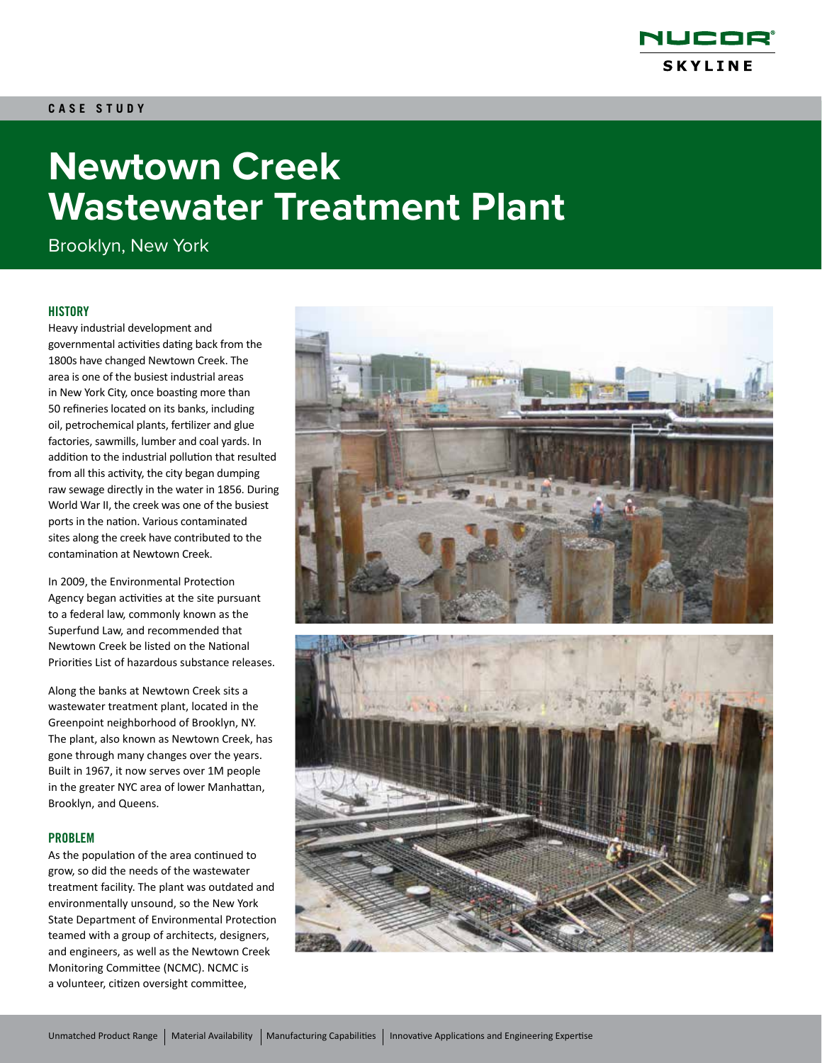

# **Newtown Creek Wastewater Treatment Plant**

Brooklyn, New York

### **HISTORY**

Heavy industrial development and governmental activities dating back from the 1800s have changed Newtown Creek. The area is one of the busiest industrial areas in New York City, once boasting more than 50 refineries located on its banks, including oil, petrochemical plants, fertilizer and glue factories, sawmills, lumber and coal yards. In addition to the industrial pollution that resulted from all this activity, the city began dumping raw sewage directly in the water in 1856. During World War II, the creek was one of the busiest ports in the nation. Various contaminated sites along the creek have contributed to the contamination at Newtown Creek.

In 2009, the Environmental Protection Agency began activities at the site pursuant to a federal law, commonly known as the Superfund Law, and recommended that Newtown Creek be listed on the National Priorities List of hazardous substance releases.

Along the banks at Newtown Creek sits a wastewater treatment plant, located in the Greenpoint neighborhood of Brooklyn, NY. The plant, also known as Newtown Creek, has gone through many changes over the years. Built in 1967, it now serves over 1M people in the greater NYC area of lower Manhattan, Brooklyn, and Queens.

#### PROBLEM

As the population of the area continued to grow, so did the needs of the wastewater treatment facility. The plant was outdated and environmentally unsound, so the New York State Department of Environmental Protection teamed with a group of architects, designers, and engineers, as well as the Newtown Creek Monitoring Committee (NCMC). NCMC is a volunteer, citizen oversight committee,